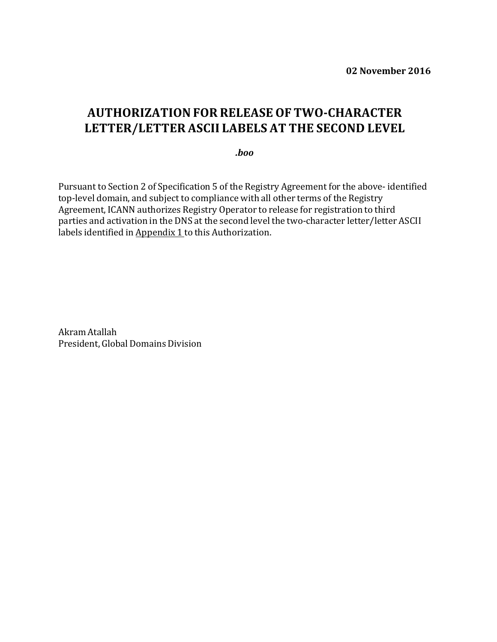**02 November 2016**

## **AUTHORIZATIONFOR RELEASE OF TWO-CHARACTER LETTER/LETTER ASCII LABELS AT THE SECOND LEVEL**

*.boo*

Pursuant to Section 2 of Specification 5 of the Registry Agreement for the above- identified top-level domain, and subject to compliance with all other terms of the Registry Agreement, ICANN authorizes Registry Operator to release for registration to third parties and activation in the DNS at the second level the two-character letter/letter ASCII labels identified in Appendix 1 to this Authorization.

Akram Atallah President, Global Domains Division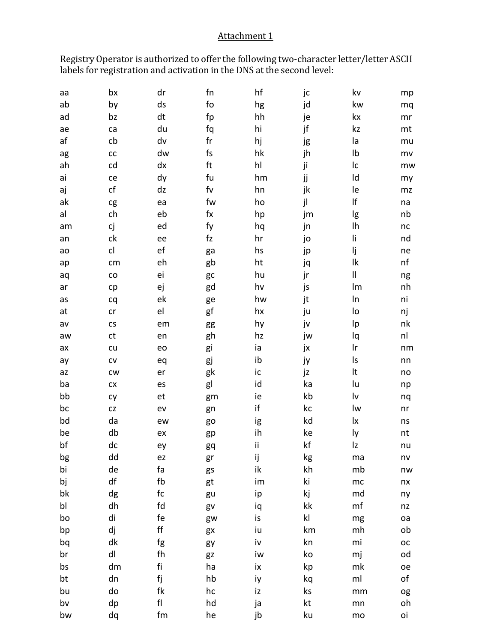## Attachment 1

Registry Operator is authorized to offer the following two-character letter/letter ASCII labels for registration and activation in the DNS at the second level:

| аа | bx                   | dr                           | fn             | hf | jc            | kv                         | mp            |
|----|----------------------|------------------------------|----------------|----|---------------|----------------------------|---------------|
| ab | by                   | ds                           | fo             | hg | jd            | kw                         | mq            |
| ad | bz                   | dt                           | fp             | hh | je            | kx                         | mr            |
| ae | ca                   | du                           | fq             | hi | jf            | kz                         | mt            |
| af | cb                   | dv                           | fr             | hj | jg            | la                         | mu            |
| ag | ${\sf CC}$           | dw                           | fs             | hk | jh            | Ib                         | mv            |
| ah | cd                   | dx                           | ft             | hl | ji            | Ic                         | mw            |
| ai | ce                   | dy                           | fu             | hm | jj            | Id                         | my            |
| aj | cf                   | dz                           | f <sub>V</sub> | hn | jk            | le                         | mz            |
| ak | cg                   | ea                           | fw             | ho | jl            | $\sf l\sf f$               | na            |
| al | ch                   | eb                           | $f$ $x$        | hp | jm            | lg                         | nb            |
| am | сj                   | ed                           | fy             | hq | jn            | Ih                         | nc            |
| an | ck                   | ee                           | f <sub>Z</sub> | hr | jo            | li                         | nd            |
| ao | cl                   | ef                           | ga             | hs | jp            | lj                         | ne            |
| ap | cm                   | eh                           | gb             | ht | jq            | $\mathsf{lk}$              | nf            |
| aq | ${\rm CO}$           | ei                           | gc             | hu | jr            | $\ensuremath{\mathsf{II}}$ | ng            |
| ar | cp                   | ej                           | gd             | hv | js            | Im                         | nh            |
| as | cq                   | ek                           | ge             | hw | jt            | In                         | ni            |
| at | cr                   | el                           | gf             | hx | ju            | lo                         | nj            |
| av | $\mathsf{CS}\xspace$ | em                           | gg             | hy | jv            | Ιp                         | nk            |
| aw | ct                   | en                           | gh             | hz | jw            | lq                         | nl            |
| ax | cu                   | eo                           | gi             | ia | jx            | Ir                         | nm            |
| ay | ${\sf CV}$           | eq                           | gj             | ib | ју            | ls                         | nn            |
| az | cw                   | er                           | gk             | ic | jz            | It                         | no            |
| ba | ${\sf C} {\sf X}$    | es                           | gl             | id | ka            | lu                         | np            |
| bb | cy                   | et                           | gm             | ie | kb            | lv                         | nq            |
| bc | CZ                   | ev                           | gn             | if | kc            | lw                         | n <b>r</b>    |
| bd | da                   | ew                           | go             | ig | kd            | lx                         | ns            |
| be | db                   | ex                           | gp             | ih | ke            | ly                         | nt            |
| bf | dc                   | ey                           | gq             | ij | kf            | Iz                         | nu            |
| bg | dd                   | ez                           | gr             | ij | kg            | ma                         | $n\mathsf{v}$ |
| bi | de                   | fa                           | gs             | ik | kh            | mb                         | nw            |
| bj | df                   | fb                           | gt             | im | ki            | mc                         | nx            |
| bk | dg                   | fc                           | gu             | ip | kj            | md                         | ny            |
| bl | dh                   | fd                           | gv             | iq | kk            | mf                         | nz            |
| bo | di                   | fe                           | gw             | is | $\mathsf{kl}$ | mg                         | oa            |
| bp | dj                   | $\mathsf{ff}$                | gx             | iu | km            | mh                         | ob            |
| bq | dk                   | fg                           | gy             | iv | kn            | mi                         | ОC            |
| br | dl                   | fh                           | gz             | iw | ko            | mj                         | od            |
| bs | dm                   | fi                           | ha             | ix | kp            | mk                         | oe            |
| bt | dn                   | fj                           | hb             | iy | kq            | ml                         | оf            |
| bu | do                   | fk                           | hc             | iz | ks            | mm                         | og            |
| bv | dp                   | ${\sf fl}$                   | hd             | ja | kt            | mn                         | oh            |
| bw | dq                   | $\operatorname{\textsf{fm}}$ | he             | jb | ku            | mo                         | oi            |